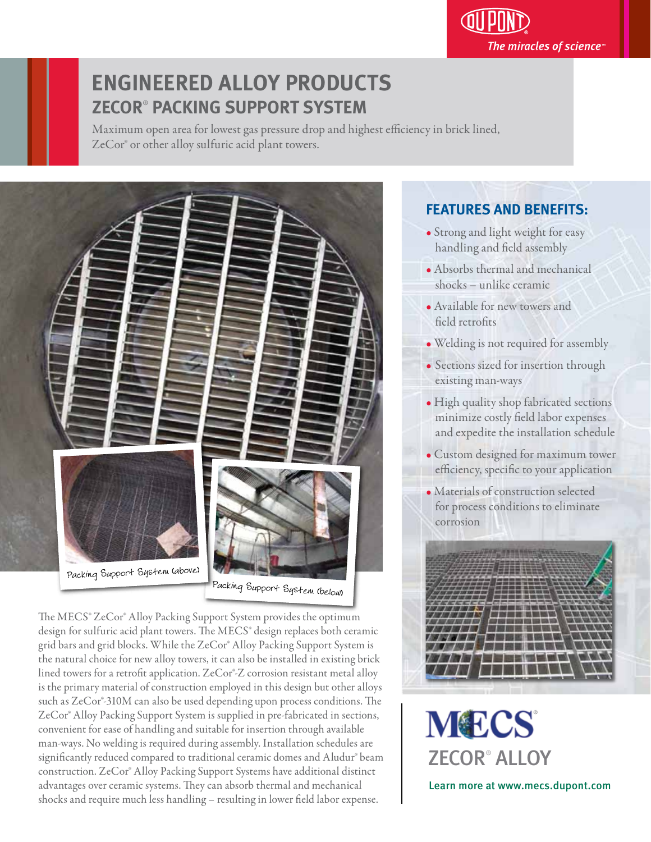The miracles of science $\overline{\ }$ 

# **ENGINEERED ALLOY PRODUCTS ZECOR**®  **PACKING SUPPORT SYSTEM**

Maximum open area for lowest gas pressure drop and highest efficiency in brick lined, ZeCor® or other alloy sulfuric acid plant towers.



The MECS<sup>®</sup> ZeCor® Alloy Packing Support System provides the optimum design for sulfuric acid plant towers. The MECS® design replaces both ceramic grid bars and grid blocks. While the ZeCor® Alloy Packing Support System is the natural choice for new alloy towers, it can also be installed in existing brick lined towers for a retrofit application. ZeCor®-Z corrosion resistant metal alloy is the primary material of construction employed in this design but other alloys such as ZeCor®-310M can also be used depending upon process conditions. The ZeCor® Alloy Packing Support System is supplied in pre-fabricated in sections, convenient for ease of handling and suitable for insertion through available man-ways. No welding is required during assembly. Installation schedules are significantly reduced compared to traditional ceramic domes and Aludur® beam construction. ZeCor® Alloy Packing Support Systems have additional distinct advantages over ceramic systems. They can absorb thermal and mechanical shocks and require much less handling - resulting in lower field labor expense.

## **FEATURES AND BENEFITS:** י

- Strong and light weight for easy handling and field assembly
- Absorbs thermal and mechanical shocks – unlike ceramic
- Available for new towers and field retrofits
- Welding is not required for assembly ľ
- Sections sized for insertion through existing man-ways
- High quality shop fabricated sections minimize costly field labor expenses and expedite the installation schedule
- Custom designed for maximum tower efficiency, specific to your application
- Materials of construction selected for process conditions to eliminate corrosion



**MECS** ZECOR® ALLOY Learn more at www.mecs.dupont.com